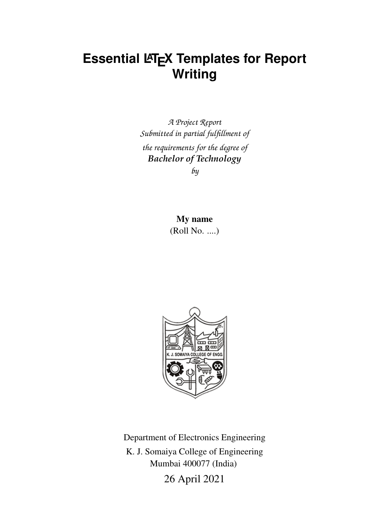### **Essential LATEX Templates for Report Writing**

*A Project Report Submitted in partial fulfillment of the requirements for the degree of Bachelor of Technology*

*by*

My name (Roll No. ....)



Department of Electronics Engineering K. J. Somaiya College of Engineering Mumbai 400077 (India)

26 April 2021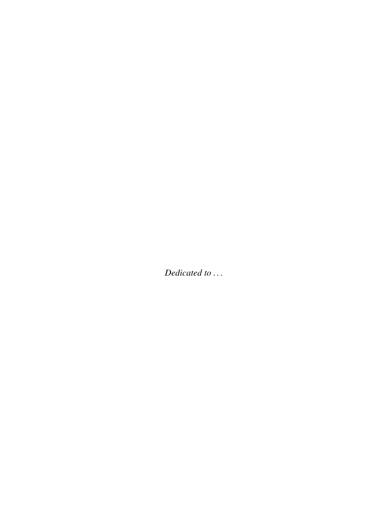Dedicated to ...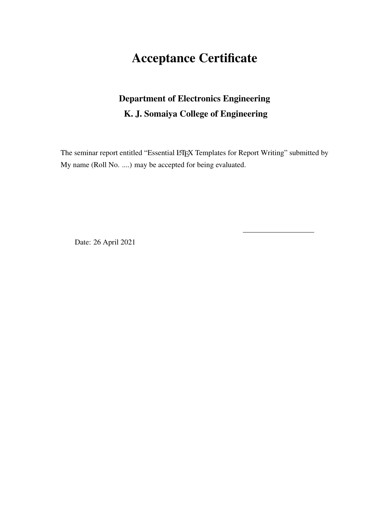### Acceptance Certificate

### Department of Electronics Engineering K. J. Somaiya College of Engineering

The seminar report entitled "Essential LATEX Templates for Report Writing" submitted by My name (Roll No. ....) may be accepted for being evaluated.

Date: 26 April 2021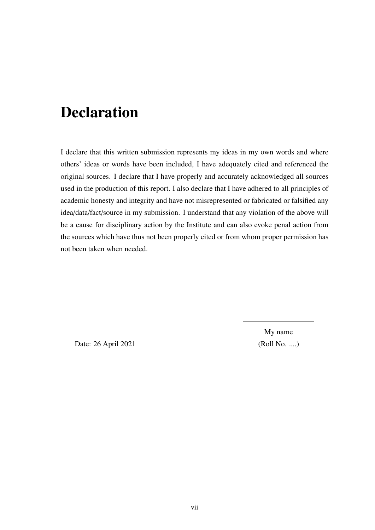## Declaration

I declare that this written submission represents my ideas in my own words and where others' ideas or words have been included, I have adequately cited and referenced the original sources. I declare that I have properly and accurately acknowledged all sources used in the production of this report. I also declare that I have adhered to all principles of academic honesty and integrity and have not misrepresented or fabricated or falsified any idea/data/fact/source in my submission. I understand that any violation of the above will be a cause for disciplinary action by the Institute and can also evoke penal action from the sources which have thus not been properly cited or from whom proper permission has not been taken when needed.

Date: 26 April 2021 (Roll No. ....)

My name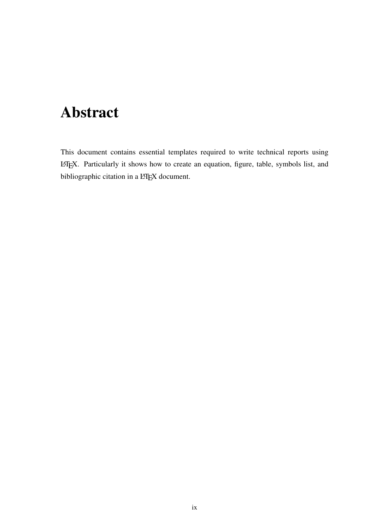## <span id="page-8-0"></span>Abstract

This document contains essential templates required to write technical reports using LATEX. Particularly it shows how to create an equation, figure, table, symbols list, and bibliographic citation in a LATEX document.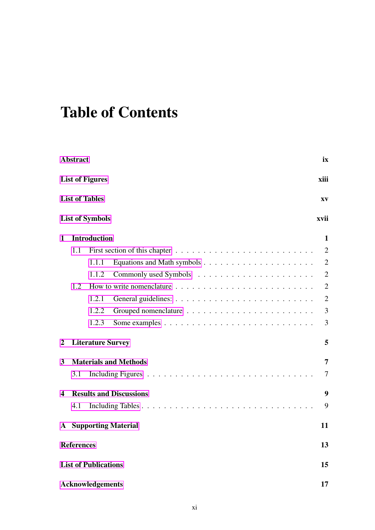# Table of Contents

|              | <b>Abstract</b>                |                             |                                |  | ix             |  |  |
|--------------|--------------------------------|-----------------------------|--------------------------------|--|----------------|--|--|
|              | <b>List of Figures</b><br>xiii |                             |                                |  |                |  |  |
|              |                                | <b>List of Tables</b>       |                                |  | XV             |  |  |
|              |                                | <b>List of Symbols</b>      |                                |  | xvii           |  |  |
| $\mathbf{1}$ |                                | <b>Introduction</b>         |                                |  | 1              |  |  |
|              | 1.1                            |                             |                                |  | $\overline{2}$ |  |  |
|              |                                | 1.1.1                       |                                |  | $\overline{2}$ |  |  |
|              |                                | 1.1.2                       |                                |  | 2              |  |  |
|              | 1.2                            |                             |                                |  | $\overline{2}$ |  |  |
|              |                                | 1.2.1                       |                                |  | $\overline{2}$ |  |  |
|              |                                | 1.2.2                       |                                |  | 3              |  |  |
|              |                                | 1.2.3                       |                                |  | 3              |  |  |
| $\mathbf{2}$ |                                | <b>Literature Survey</b>    |                                |  | 5              |  |  |
| 3            |                                |                             | <b>Materials and Methods</b>   |  | 7              |  |  |
|              | 3.1                            |                             |                                |  | 7              |  |  |
| 4            |                                |                             | <b>Results and Discussions</b> |  | 9              |  |  |
|              | 4.1                            |                             |                                |  | 9              |  |  |
| A            |                                |                             | <b>Supporting Material</b>     |  | 11             |  |  |
|              | <b>References</b>              |                             |                                |  | 13             |  |  |
|              |                                | <b>List of Publications</b> |                                |  | 15             |  |  |
|              |                                | <b>Acknowledgements</b>     |                                |  | 17             |  |  |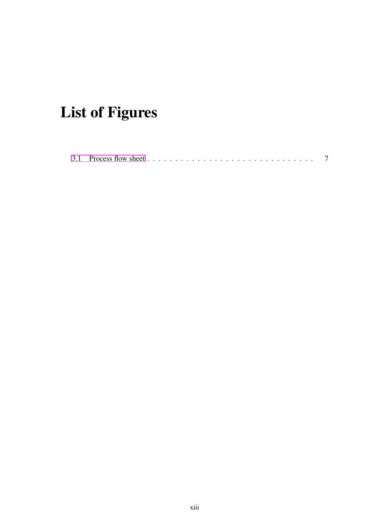# <span id="page-12-0"></span>List of Figures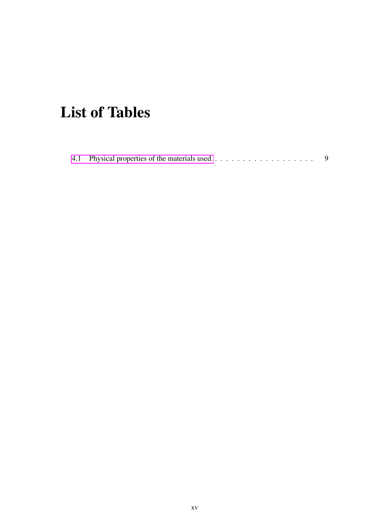# <span id="page-14-0"></span>List of Tables

|--|--|--|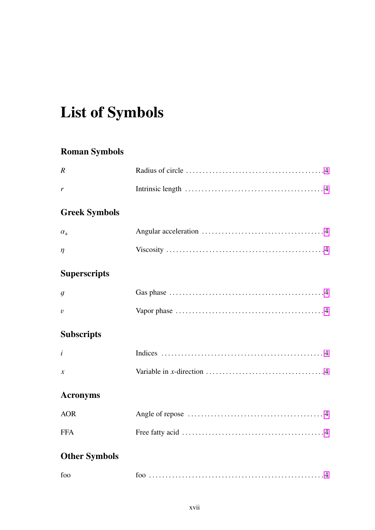# <span id="page-16-0"></span>**List of Symbols**

### **Roman Symbols**

| $\boldsymbol{R}$     |                                                                                                         |
|----------------------|---------------------------------------------------------------------------------------------------------|
| r                    |                                                                                                         |
| <b>Greek Symbols</b> |                                                                                                         |
| $\alpha_{\rm a}$     |                                                                                                         |
| $\eta$               |                                                                                                         |
| <b>Superscripts</b>  |                                                                                                         |
| $\mathfrak{g}$       |                                                                                                         |
| $\overline{v}$       | Vapor phase $\dots \dots \dots \dots \dots \dots \dots \dots \dots \dots \dots \dots \dots \dots \dots$ |
| <b>Subscripts</b>    |                                                                                                         |
| i                    |                                                                                                         |
| $\boldsymbol{\chi}$  |                                                                                                         |
| <b>Acronyms</b>      |                                                                                                         |
| <b>AOR</b>           |                                                                                                         |
| <b>FFA</b>           |                                                                                                         |
| <b>Other Symbols</b> |                                                                                                         |
| foo                  |                                                                                                         |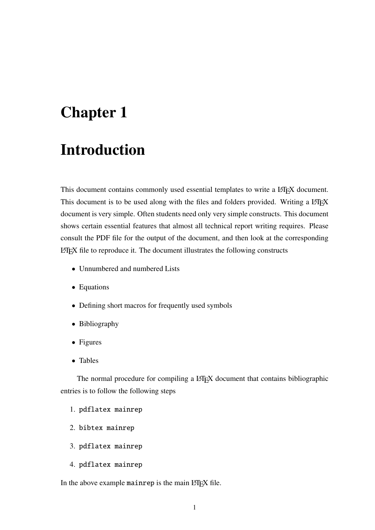### <span id="page-18-0"></span>Introduction

This document contains commonly used essential templates to write a LATEX document. This document is to be used along with the files and folders provided. Writing a LATEX document is very simple. Often students need only very simple constructs. This document shows certain essential features that almost all technical report writing requires. Please consult the PDF file for the output of the document, and then look at the corresponding LATEX file to reproduce it. The document illustrates the following constructs

- Unnumbered and numbered Lists
- Equations
- Defining short macros for frequently used symbols
- Bibliography
- Figures
- Tables

The normal procedure for compiling a L<sup>AT</sup>EX document that contains bibliographic entries is to follow the following steps

- 1. pdflatex mainrep
- 2. bibtex mainrep
- 3. pdflatex mainrep
- 4. pdflatex mainrep

In the above example mainrep is the main LATEX file.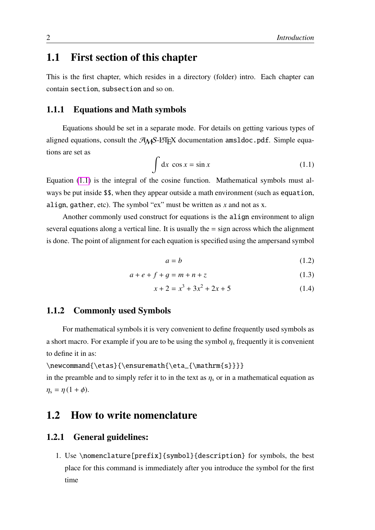### <span id="page-19-0"></span>1.1 First section of this chapter

This is the first chapter, which resides in a directory (folder) intro. Each chapter can contain section, subsection and so on.

#### <span id="page-19-1"></span>1.1.1 Equations and Math symbols

Equations should be set in a separate mode. For details on getting various types of aligned equations, consult the  $A_{\mathcal{M}}S$ -L<sup>4</sup>TEX documentation amsldoc.pdf. Simple equations are set as

<span id="page-19-5"></span>
$$
\int dx \cos x = \sin x \tag{1.1}
$$

Equation [\(1.1\)](#page-19-5) is the integral of the cosine function. Mathematical symbols must always be put inside \$\$, when they appear outside a math environment (such as equation, align, gather, etc). The symbol "ex" must be written as *x* and not as x.

Another commonly used construct for equations is the align environment to align several equations along a vertical line. It is usually the  $=$  sign across which the alignment is done. The point of alignment for each equation is specified using the ampersand symbol

$$
a = b \tag{1.2}
$$

$$
a + e + f + g = m + n + z \tag{1.3}
$$

$$
x + 2 = x3 + 3x2 + 2x + 5
$$
 (1.4)

#### <span id="page-19-2"></span>1.1.2 Commonly used Symbols

For mathematical symbols it is very convenient to define frequently used symbols as a short macro. For example if you are to be using the symbol  $\eta_s$  frequently it is convenient to define it in as:

\newcommand{\etas}{\ensuremath{\eta\_{\mathrm{s}}}} in the preamble and to simply refer it to in the text as  $\eta_s$  or in a mathematical equation as  $\eta_s = \eta (1 + \phi)$ .

#### <span id="page-19-3"></span>1.2 How to write nomenclature

#### <span id="page-19-4"></span>1.2.1 General guidelines:

1. Use \nomenclature[prefix]{symbol}{description} for symbols, the best place for this command is immediately after you introduce the symbol for the first time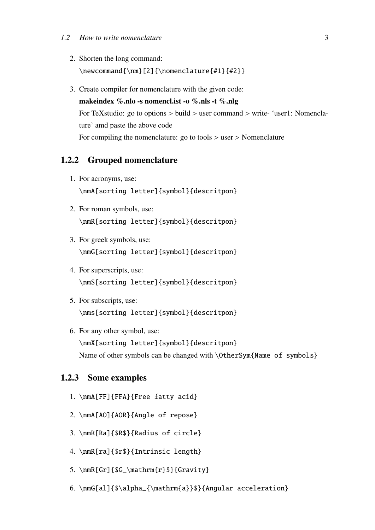- 2. Shorten the long command: \newcommand{\nm}[2]{\nomenclature{#1}{#2}}
- 3. Create compiler for nomenclature with the given code: makeindex %.nlo -s nomencl.ist -o %.nls -t %.nlg For TeXstudio: go to options > build > user command > write- 'user1: Nomenclature' amd paste the above code For compiling the nomenclature: go to tools > user > Nomenclature

#### <span id="page-20-0"></span>1.2.2 Grouped nomenclature

- 1. For acronyms, use: \nmA[sorting letter]{symbol}{descritpon}
- 2. For roman symbols, use: \nmR[sorting letter]{symbol}{descritpon}
- 3. For greek symbols, use: \nmG[sorting letter]{symbol}{descritpon}
- 4. For superscripts, use: \nmS[sorting letter]{symbol}{descritpon}
- 5. For subscripts, use: \nms[sorting letter]{symbol}{descritpon}
- 6. For any other symbol, use: \nmX[sorting letter]{symbol}{descritpon} Name of other symbols can be changed with \OtherSym{Name of symbols}

#### <span id="page-20-1"></span>1.2.3 Some examples

- 1. \nmA[FF]{FFA}{Free fatty acid}
- 2. \nmA[AO]{AOR}{Angle of repose}
- 3. \nmR[Ra]{\$R\$}{Radius of circle}
- 4. \nmR[ra]{\$r\$}{Intrinsic length}
- 5. \nmR[Gr]{\$G\_\mathrm{r}\$}{Gravity}
- 6. \nmG[al]{\$\alpha\_{\mathrm{a}}\$}{Angular acceleration}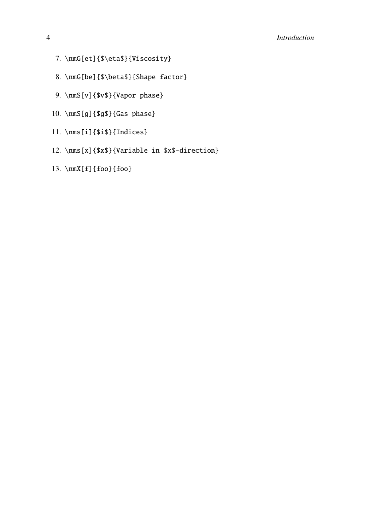- <span id="page-21-0"></span>7. \nmG[et]{\$\eta\$}{Viscosity}
- 8. \nmG[be]{\$\beta\$}{Shape factor}
- 9. \nmS[v]{\$v\$}{Vapor phase}
- 10. \nmS[g]{\$g\$}{Gas phase}
- 11. \nms[i]{\$i\$}{Indices}
- 12. \nms[x]{\$x\$}{Variable in \$x\$-direction}
- 13. \nmX[f]{foo}{foo}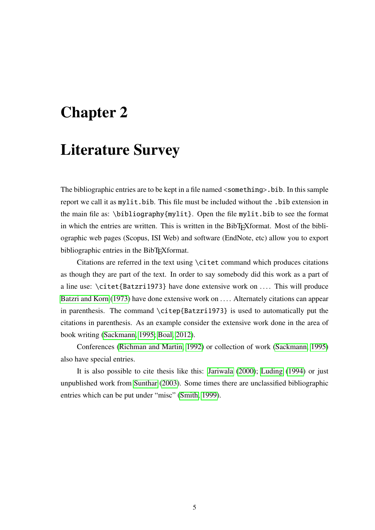### <span id="page-22-0"></span>Literature Survey

The bibliographic entries are to be kept in a file named <something>.bib. In this sample report we call it as mylit.bib. This file must be included without the .bib extension in the main file as: \bibliography{mylit}. Open the file mylit.bib to see the format in which the entries are written. This is written in the BibTEXformat. Most of the bibliographic web pages (Scopus, ISI Web) and software (EndNote, etc) allow you to export bibliographic entries in the BibT<sub>E</sub>Xformat.

Citations are referred in the text using \citet command which produces citations as though they are part of the text. In order to say somebody did this work as a part of a line use:  $\citet{Batzri1973}$  have done extensive work on .... This will produce [Batzri and Korn](#page-30-1) [\(1973\)](#page-30-1) have done extensive work on .... Alternately citations can appear in parenthesis. The command \citep{Batzri1973} is used to automatically put the citations in parenthesis. As an example consider the extensive work done in the area of book writing [\(Sackmann, 1995;](#page-30-2) [Boal, 2012\)](#page-30-3).

Conferences [\(Richman and Martin, 1992\)](#page-30-4) or collection of work [\(Sackmann, 1995\)](#page-30-2) also have special entries.

It is also possible to cite thesis like this: [Jariwala](#page-30-5) [\(2000\)](#page-30-5); [Luding](#page-30-6) [\(1994\)](#page-30-6) or just unpublished work from [Sunthar](#page-30-7) [\(2003\)](#page-30-7). Some times there are unclassified bibliographic entries which can be put under "misc" [\(Smith, 1999\)](#page-30-8).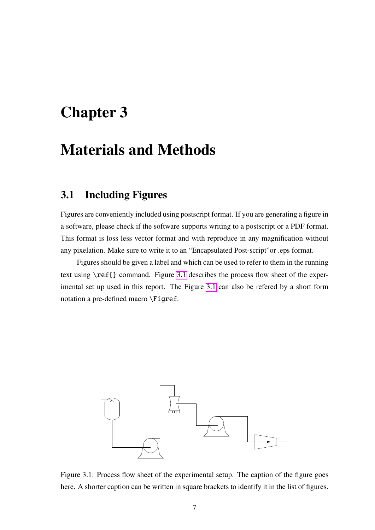### <span id="page-24-0"></span>Materials and Methods

### <span id="page-24-1"></span>3.1 Including Figures

Figures are conveniently included using postscript format. If you are generating a figure in a software, please check if the software supports writing to a postscript or a PDF format. This format is loss less vector format and with reproduce in any magnification without any pixelation. Make sure to write it to an "Encapsulated Post-script"or .eps format.

Figures should be given a label and which can be used to refer to them in the running text using \ref{} command. Figure [3.1](#page-24-2) describes the process flow sheet of the experimental set up used in this report. The Figure [3.1](#page-24-2) can also be refered by a short form notation a pre-defined macro \Figref.



<span id="page-24-2"></span>Figure 3.1: Process flow sheet of the experimental setup. The caption of the figure goes here. A shorter caption can be written in square brackets to identify it in the list of figures.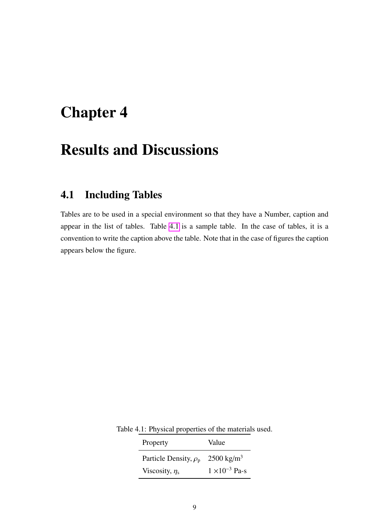### <span id="page-26-0"></span>Results and Discussions

### <span id="page-26-1"></span>4.1 Including Tables

Tables are to be used in a special environment so that they have a Number, caption and appear in the list of tables. Table [4.1](#page-26-2) is a sample table. In the case of tables, it is a convention to write the caption above the table. Note that in the case of figures the caption appears below the figure.

Table 4.1: Physical properties of the materials used.

<span id="page-26-2"></span>

| Property                   | Value                   |
|----------------------------|-------------------------|
| Particle Density, $\rho_p$ | $2500 \text{ kg/m}^3$   |
| Viscosity, $\eta_s$        | $1 \times 10^{-3}$ Pa-s |
|                            |                         |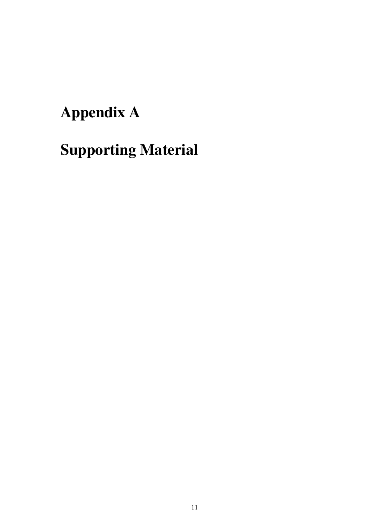# <span id="page-28-0"></span>Appendix A

# Supporting Material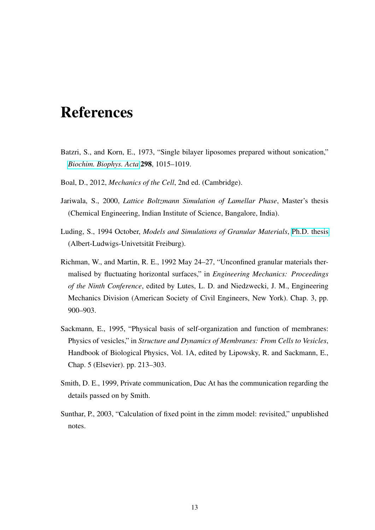## <span id="page-30-0"></span>References

- <span id="page-30-1"></span>Batzri, S., and Korn, E., 1973, "Single bilayer liposomes prepared without sonication," *[Biochim. Biophys. Acta](http://dx.doi.org/10.1016/0005-2736(73)90408-2)* 298, 1015–1019.
- <span id="page-30-3"></span>Boal, D., 2012, *Mechanics of the Cell*, 2nd ed. (Cambridge).
- <span id="page-30-5"></span>Jariwala, S., 2000, *Lattice Boltzmann Simulation of Lamellar Phase*, Master's thesis (Chemical Engineering, Indian Institute of Science, Bangalore, India).
- <span id="page-30-6"></span>Luding, S., 1994 October, *Models and Simulations of Granular Materials*, [Ph.D. thesis](http://www2.msm.ctw.utwente.nl/sluding/PAPERS/PhD_Luding.pdf) (Albert-Ludwigs-Univetsität Freiburg).
- <span id="page-30-4"></span>Richman, W., and Martin, R. E., 1992 May 24–27, "Unconfined granular materials thermalised by fluctuating horizontal surfaces," in *Engineering Mechanics: Proceedings of the Ninth Conference*, edited by Lutes, L. D. and Niedzwecki, J. M., Engineering Mechanics Division (American Society of Civil Engineers, New York). Chap. 3, pp. 900–903.
- <span id="page-30-2"></span>Sackmann, E., 1995, "Physical basis of self-organization and function of membranes: Physics of vesicles," in *Structure and Dynamics of Membranes: From Cells to Vesicles*, Handbook of Biological Physics, Vol. 1A, edited by Lipowsky, R. and Sackmann, E., Chap. 5 (Elsevier). pp. 213–303.
- <span id="page-30-8"></span>Smith, D. E., 1999, Private communication, Duc At has the communication regarding the details passed on by Smith.
- <span id="page-30-7"></span>Sunthar, P., 2003, "Calculation of fixed point in the zimm model: revisited," unpublished notes.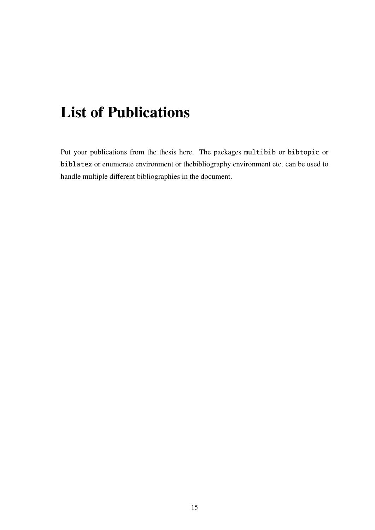## <span id="page-32-0"></span>List of Publications

Put your publications from the thesis here. The packages multibib or bibtopic or biblatex or enumerate environment or thebibliography environment etc. can be used to handle multiple different bibliographies in the document.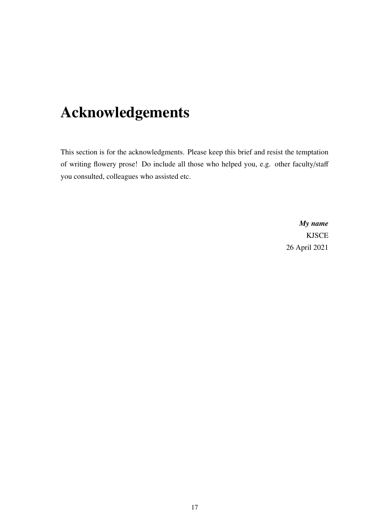## <span id="page-34-0"></span>Acknowledgements

This section is for the acknowledgments. Please keep this brief and resist the temptation of writing flowery prose! Do include all those who helped you, e.g. other faculty/staff you consulted, colleagues who assisted etc.

> *My name* KJSCE 26 April 2021